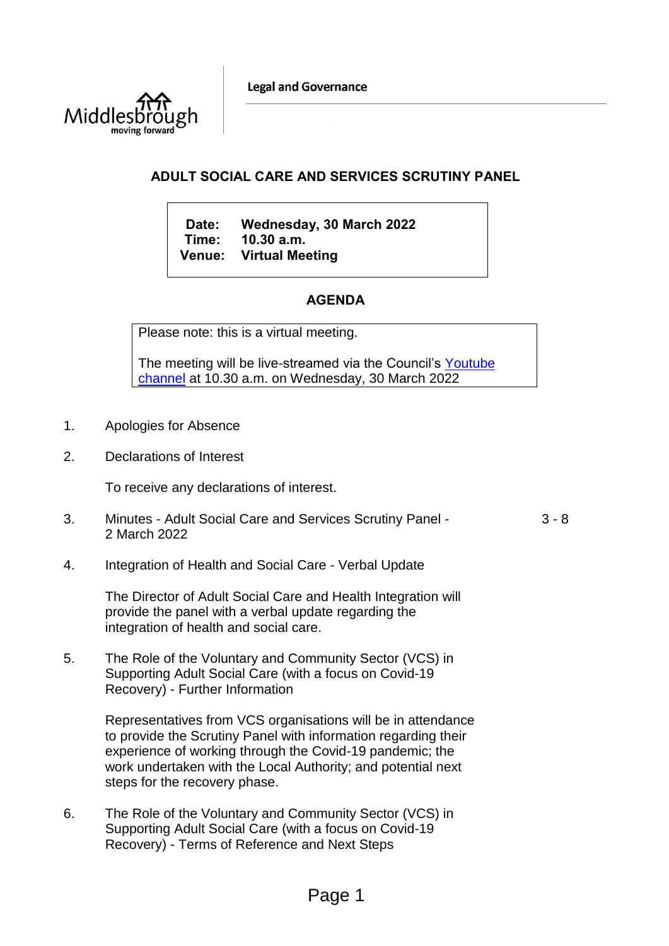**Legal and Governance** 



# **ADULT SOCIAL CARE AND SERVICES SCRUTINY PANEL**

**Date: Wednesday, 30 March 2022 Time: 10.30 a.m. Venue: Virtual Meeting**

# **AGENDA**

Please note: this is a virtual meeting.

The meeting will be live-streamed via the Council's [Youtube](https://www.youtube.com/user/middlesboroughcouncil)  [channel](https://www.youtube.com/user/middlesboroughcouncil) at 10.30 a.m. on Wednesday, 30 March 2022

- 1. Apologies for Absence
- 2. Declarations of Interest

To receive any declarations of interest.

- 3. Minutes Adult Social Care and Services Scrutiny Panel 2 March 2022 3 - 8
- 4. Integration of Health and Social Care Verbal Update

The Director of Adult Social Care and Health Integration will provide the panel with a verbal update regarding the integration of health and social care.

5. The Role of the Voluntary and Community Sector (VCS) in Supporting Adult Social Care (with a focus on Covid-19 Recovery) - Further Information

> Representatives from VCS organisations will be in attendance to provide the Scrutiny Panel with information regarding their experience of working through the Covid-19 pandemic; the work undertaken with the Local Authority; and potential next steps for the recovery phase.

6. The Role of the Voluntary and Community Sector (VCS) in Supporting Adult Social Care (with a focus on Covid-19 Recovery) - Terms of Reference and Next Steps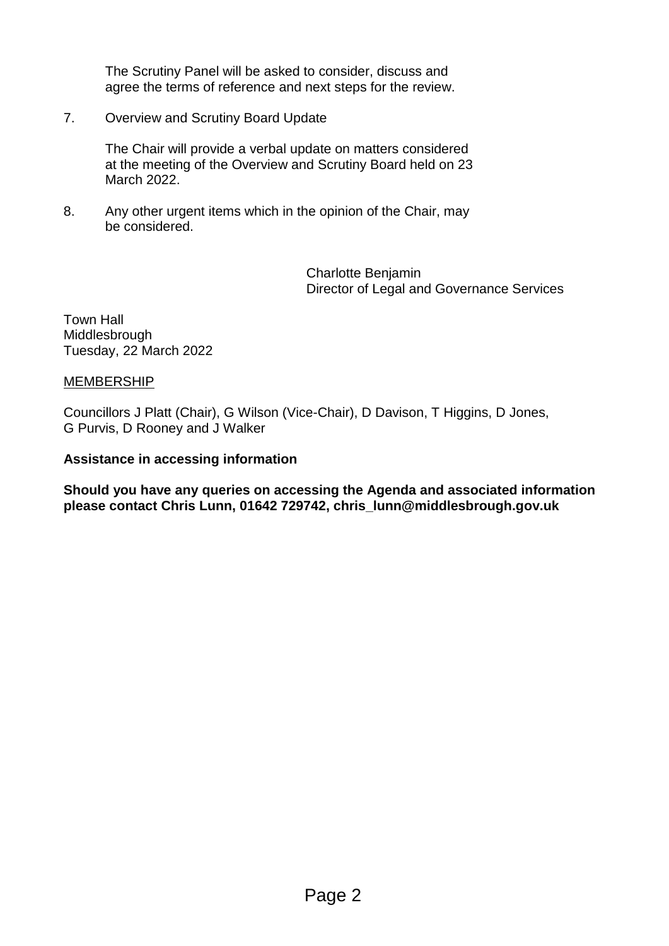The Scrutiny Panel will be asked to consider, discuss and agree the terms of reference and next steps for the review.

7. Overview and Scrutiny Board Update

The Chair will provide a verbal update on matters considered at the meeting of the Overview and Scrutiny Board held on 23 March 2022.

8. Any other urgent items which in the opinion of the Chair, may be considered.

> Charlotte Benjamin Director of Legal and Governance Services

Town Hall Middlesbrough Tuesday, 22 March 2022

# **MEMBERSHIP**

Councillors J Platt (Chair), G Wilson (Vice-Chair), D Davison, T Higgins, D Jones, G Purvis, D Rooney and J Walker

# **Assistance in accessing information**

**Should you have any queries on accessing the Agenda and associated information please contact Chris Lunn, 01642 729742, chris\_lunn@middlesbrough.gov.uk**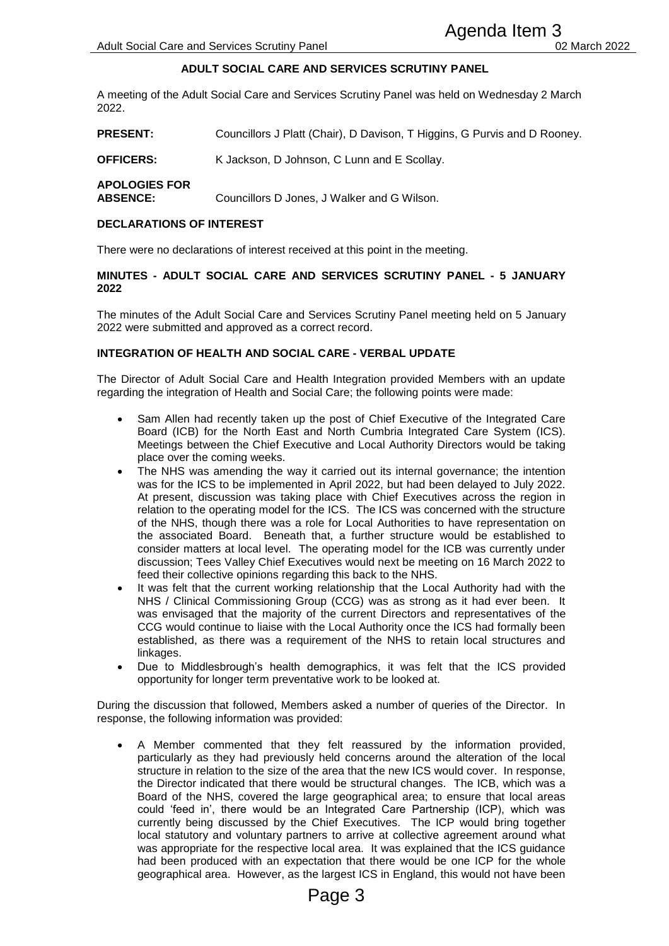## **ADULT SOCIAL CARE AND SERVICES SCRUTINY PANEL**

A meeting of the Adult Social Care and Services Scrutiny Panel was held on Wednesday 2 March 2022.

**PRESENT:** Councillors J Platt (Chair), D Davison, T Higgins, G Purvis and D Rooney.

**OFFICERS:** K Jackson, D Johnson, C Lunn and E Scollay.

**APOLOGIES FOR** 

**ABSENCE:** Councillors D Jones, J Walker and G Wilson.

#### **DECLARATIONS OF INTEREST**

There were no declarations of interest received at this point in the meeting.

#### **MINUTES - ADULT SOCIAL CARE AND SERVICES SCRUTINY PANEL - 5 JANUARY 2022**

The minutes of the Adult Social Care and Services Scrutiny Panel meeting held on 5 January 2022 were submitted and approved as a correct record.

#### **INTEGRATION OF HEALTH AND SOCIAL CARE - VERBAL UPDATE**

The Director of Adult Social Care and Health Integration provided Members with an update regarding the integration of Health and Social Care; the following points were made:

- Sam Allen had recently taken up the post of Chief Executive of the Integrated Care Board (ICB) for the North East and North Cumbria Integrated Care System (ICS). Meetings between the Chief Executive and Local Authority Directors would be taking place over the coming weeks.
- The NHS was amending the way it carried out its internal governance; the intention was for the ICS to be implemented in April 2022, but had been delayed to July 2022. At present, discussion was taking place with Chief Executives across the region in relation to the operating model for the ICS. The ICS was concerned with the structure of the NHS, though there was a role for Local Authorities to have representation on the associated Board. Beneath that, a further structure would be established to consider matters at local level. The operating model for the ICB was currently under discussion; Tees Valley Chief Executives would next be meeting on 16 March 2022 to feed their collective opinions regarding this back to the NHS.
- It was felt that the current working relationship that the Local Authority had with the NHS / Clinical Commissioning Group (CCG) was as strong as it had ever been. It was envisaged that the majority of the current Directors and representatives of the CCG would continue to liaise with the Local Authority once the ICS had formally been established, as there was a requirement of the NHS to retain local structures and linkages.
- Due to Middlesbrough's health demographics, it was felt that the ICS provided opportunity for longer term preventative work to be looked at.

During the discussion that followed, Members asked a number of queries of the Director. In response, the following information was provided:

 A Member commented that they felt reassured by the information provided, particularly as they had previously held concerns around the alteration of the local structure in relation to the size of the area that the new ICS would cover. In response, the Director indicated that there would be structural changes. The ICB, which was a Board of the NHS, covered the large geographical area; to ensure that local areas could 'feed in', there would be an Integrated Care Partnership (ICP), which was currently being discussed by the Chief Executives. The ICP would bring together local statutory and voluntary partners to arrive at collective agreement around what was appropriate for the respective local area. It was explained that the ICS guidance had been produced with an expectation that there would be one ICP for the whole geographical area. However, as the largest ICS in England, this would not have been Agenda Item 3<br>
Notices Scruttiny Panel Agenda Item 3<br>
NO SERVICES SCRUTINY PANEL<br>
NOTO SERVICES SCRUTINY PANEL<br>
NOTOS SCRUTINY PANEL<br>
NOTOS SCRUTINY PANEL TO DO NOTOS SCRUTINY PANEL - 5 JANUARY<br>
Services SCRUTINY PANEL - 5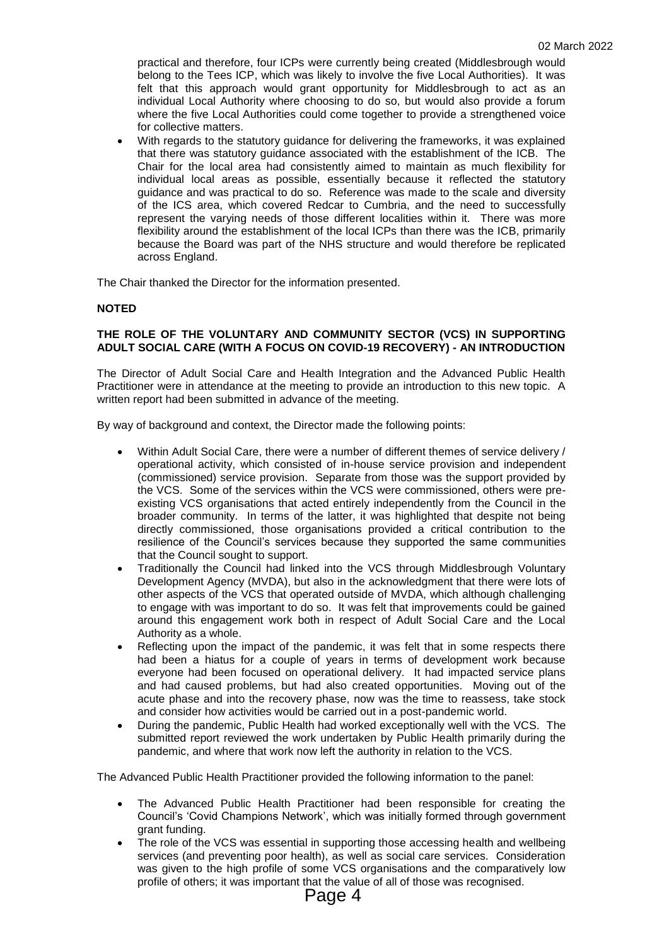practical and therefore, four ICPs were currently being created (Middlesbrough would belong to the Tees ICP, which was likely to involve the five Local Authorities). It was felt that this approach would grant opportunity for Middlesbrough to act as an individual Local Authority where choosing to do so, but would also provide a forum where the five Local Authorities could come together to provide a strengthened voice for collective matters.

 With regards to the statutory guidance for delivering the frameworks, it was explained that there was statutory guidance associated with the establishment of the ICB. The Chair for the local area had consistently aimed to maintain as much flexibility for individual local areas as possible, essentially because it reflected the statutory guidance and was practical to do so. Reference was made to the scale and diversity of the ICS area, which covered Redcar to Cumbria, and the need to successfully represent the varying needs of those different localities within it. There was more flexibility around the establishment of the local ICPs than there was the ICB, primarily because the Board was part of the NHS structure and would therefore be replicated across England.

The Chair thanked the Director for the information presented.

#### **NOTED**

#### **THE ROLE OF THE VOLUNTARY AND COMMUNITY SECTOR (VCS) IN SUPPORTING ADULT SOCIAL CARE (WITH A FOCUS ON COVID-19 RECOVERY) - AN INTRODUCTION**

The Director of Adult Social Care and Health Integration and the Advanced Public Health Practitioner were in attendance at the meeting to provide an introduction to this new topic. A written report had been submitted in advance of the meeting.

By way of background and context, the Director made the following points:

- Within Adult Social Care, there were a number of different themes of service delivery / operational activity, which consisted of in-house service provision and independent (commissioned) service provision. Separate from those was the support provided by the VCS. Some of the services within the VCS were commissioned, others were preexisting VCS organisations that acted entirely independently from the Council in the broader community. In terms of the latter, it was highlighted that despite not being directly commissioned, those organisations provided a critical contribution to the resilience of the Council's services because they supported the same communities that the Council sought to support.
- Traditionally the Council had linked into the VCS through Middlesbrough Voluntary Development Agency (MVDA), but also in the acknowledgment that there were lots of other aspects of the VCS that operated outside of MVDA, which although challenging to engage with was important to do so. It was felt that improvements could be gained around this engagement work both in respect of Adult Social Care and the Local Authority as a whole.
- Reflecting upon the impact of the pandemic, it was felt that in some respects there had been a hiatus for a couple of years in terms of development work because everyone had been focused on operational delivery. It had impacted service plans and had caused problems, but had also created opportunities. Moving out of the acute phase and into the recovery phase, now was the time to reassess, take stock and consider how activities would be carried out in a post-pandemic world.
- During the pandemic, Public Health had worked exceptionally well with the VCS. The submitted report reviewed the work undertaken by Public Health primarily during the pandemic, and where that work now left the authority in relation to the VCS.

The Advanced Public Health Practitioner provided the following information to the panel:

- The Advanced Public Health Practitioner had been responsible for creating the Council's 'Covid Champions Network', which was initially formed through government grant funding.
- The role of the VCS was essential in supporting those accessing health and wellbeing services (and preventing poor health), as well as social care services. Consideration was given to the high profile of some VCS organisations and the comparatively low profile of others; it was important that the value of all of those was recognised.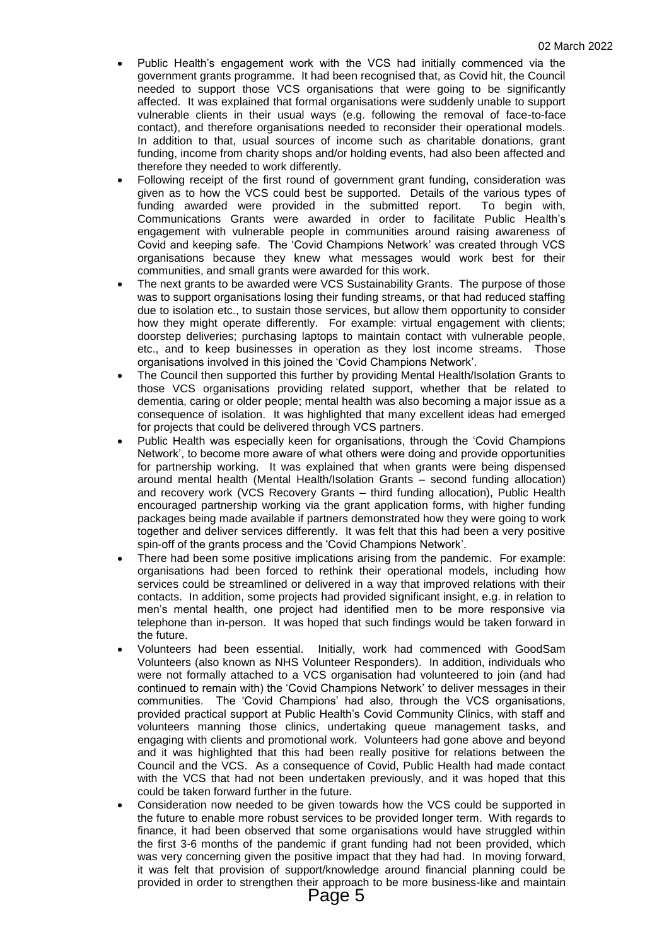- Public Health's engagement work with the VCS had initially commenced via the government grants programme. It had been recognised that, as Covid hit, the Council needed to support those VCS organisations that were going to be significantly affected. It was explained that formal organisations were suddenly unable to support vulnerable clients in their usual ways (e.g. following the removal of face-to-face contact), and therefore organisations needed to reconsider their operational models. In addition to that, usual sources of income such as charitable donations, grant funding, income from charity shops and/or holding events, had also been affected and therefore they needed to work differently.
- Following receipt of the first round of government grant funding, consideration was given as to how the VCS could best be supported. Details of the various types of funding awarded were provided in the submitted report. To begin with, Communications Grants were awarded in order to facilitate Public Health's engagement with vulnerable people in communities around raising awareness of Covid and keeping safe. The 'Covid Champions Network' was created through VCS organisations because they knew what messages would work best for their communities, and small grants were awarded for this work.
- The next grants to be awarded were VCS Sustainability Grants. The purpose of those was to support organisations losing their funding streams, or that had reduced staffing due to isolation etc., to sustain those services, but allow them opportunity to consider how they might operate differently. For example: virtual engagement with clients; doorstep deliveries; purchasing laptops to maintain contact with vulnerable people, etc., and to keep businesses in operation as they lost income streams. Those organisations involved in this joined the 'Covid Champions Network'.
- The Council then supported this further by providing Mental Health/Isolation Grants to those VCS organisations providing related support, whether that be related to dementia, caring or older people; mental health was also becoming a major issue as a consequence of isolation. It was highlighted that many excellent ideas had emerged for projects that could be delivered through VCS partners.
- Public Health was especially keen for organisations, through the 'Covid Champions Network', to become more aware of what others were doing and provide opportunities for partnership working. It was explained that when grants were being dispensed around mental health (Mental Health/Isolation Grants – second funding allocation) and recovery work (VCS Recovery Grants – third funding allocation), Public Health encouraged partnership working via the grant application forms, with higher funding packages being made available if partners demonstrated how they were going to work together and deliver services differently. It was felt that this had been a very positive spin-off of the grants process and the 'Covid Champions Network'.
- There had been some positive implications arising from the pandemic. For example: organisations had been forced to rethink their operational models, including how services could be streamlined or delivered in a way that improved relations with their contacts. In addition, some projects had provided significant insight, e.g. in relation to men's mental health, one project had identified men to be more responsive via telephone than in-person. It was hoped that such findings would be taken forward in the future.
- Volunteers had been essential. Initially, work had commenced with GoodSam Volunteers (also known as NHS Volunteer Responders). In addition, individuals who were not formally attached to a VCS organisation had volunteered to join (and had continued to remain with) the 'Covid Champions Network' to deliver messages in their communities. The 'Covid Champions' had also, through the VCS organisations, provided practical support at Public Health's Covid Community Clinics, with staff and volunteers manning those clinics, undertaking queue management tasks, and engaging with clients and promotional work. Volunteers had gone above and beyond and it was highlighted that this had been really positive for relations between the Council and the VCS. As a consequence of Covid, Public Health had made contact with the VCS that had not been undertaken previously, and it was hoped that this could be taken forward further in the future.
- Consideration now needed to be given towards how the VCS could be supported in the future to enable more robust services to be provided longer term. With regards to finance, it had been observed that some organisations would have struggled within the first 3-6 months of the pandemic if grant funding had not been provided, which was very concerning given the positive impact that they had had. In moving forward, it was felt that provision of support/knowledge around financial planning could be provided in order to strengthen their approach to be more business-like and maintain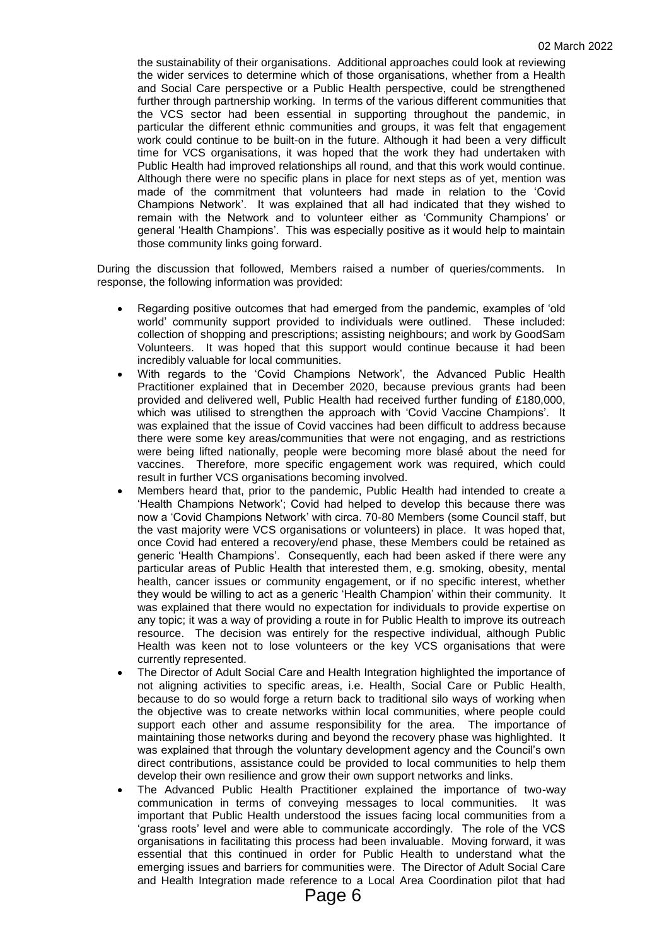the sustainability of their organisations. Additional approaches could look at reviewing the wider services to determine which of those organisations, whether from a Health and Social Care perspective or a Public Health perspective, could be strengthened further through partnership working. In terms of the various different communities that the VCS sector had been essential in supporting throughout the pandemic, in particular the different ethnic communities and groups, it was felt that engagement work could continue to be built-on in the future. Although it had been a very difficult time for VCS organisations, it was hoped that the work they had undertaken with Public Health had improved relationships all round, and that this work would continue. Although there were no specific plans in place for next steps as of yet, mention was made of the commitment that volunteers had made in relation to the 'Covid Champions Network'. It was explained that all had indicated that they wished to remain with the Network and to volunteer either as 'Community Champions' or general 'Health Champions'. This was especially positive as it would help to maintain those community links going forward.

During the discussion that followed, Members raised a number of queries/comments. In response, the following information was provided:

- Regarding positive outcomes that had emerged from the pandemic, examples of 'old world' community support provided to individuals were outlined. These included: collection of shopping and prescriptions; assisting neighbours; and work by GoodSam Volunteers. It was hoped that this support would continue because it had been incredibly valuable for local communities.
- With regards to the 'Covid Champions Network', the Advanced Public Health Practitioner explained that in December 2020, because previous grants had been provided and delivered well, Public Health had received further funding of £180,000, which was utilised to strengthen the approach with 'Covid Vaccine Champions'. It was explained that the issue of Covid vaccines had been difficult to address because there were some key areas/communities that were not engaging, and as restrictions were being lifted nationally, people were becoming more blasé about the need for vaccines. Therefore, more specific engagement work was required, which could result in further VCS organisations becoming involved.
- Members heard that, prior to the pandemic, Public Health had intended to create a 'Health Champions Network'; Covid had helped to develop this because there was now a 'Covid Champions Network' with circa. 70-80 Members (some Council staff, but the vast majority were VCS organisations or volunteers) in place. It was hoped that, once Covid had entered a recovery/end phase, these Members could be retained as generic 'Health Champions'. Consequently, each had been asked if there were any particular areas of Public Health that interested them, e.g. smoking, obesity, mental health, cancer issues or community engagement, or if no specific interest, whether they would be willing to act as a generic 'Health Champion' within their community. It was explained that there would no expectation for individuals to provide expertise on any topic; it was a way of providing a route in for Public Health to improve its outreach resource. The decision was entirely for the respective individual, although Public Health was keen not to lose volunteers or the key VCS organisations that were currently represented.
- The Director of Adult Social Care and Health Integration highlighted the importance of not aligning activities to specific areas, i.e. Health, Social Care or Public Health, because to do so would forge a return back to traditional silo ways of working when the objective was to create networks within local communities, where people could support each other and assume responsibility for the area. The importance of maintaining those networks during and beyond the recovery phase was highlighted. It was explained that through the voluntary development agency and the Council's own direct contributions, assistance could be provided to local communities to help them develop their own resilience and grow their own support networks and links.
- The Advanced Public Health Practitioner explained the importance of two-way communication in terms of conveying messages to local communities. It was important that Public Health understood the issues facing local communities from a 'grass roots' level and were able to communicate accordingly. The role of the VCS organisations in facilitating this process had been invaluable. Moving forward, it was essential that this continued in order for Public Health to understand what the emerging issues and barriers for communities were. The Director of Adult Social Care and Health Integration made reference to a Local Area Coordination pilot that had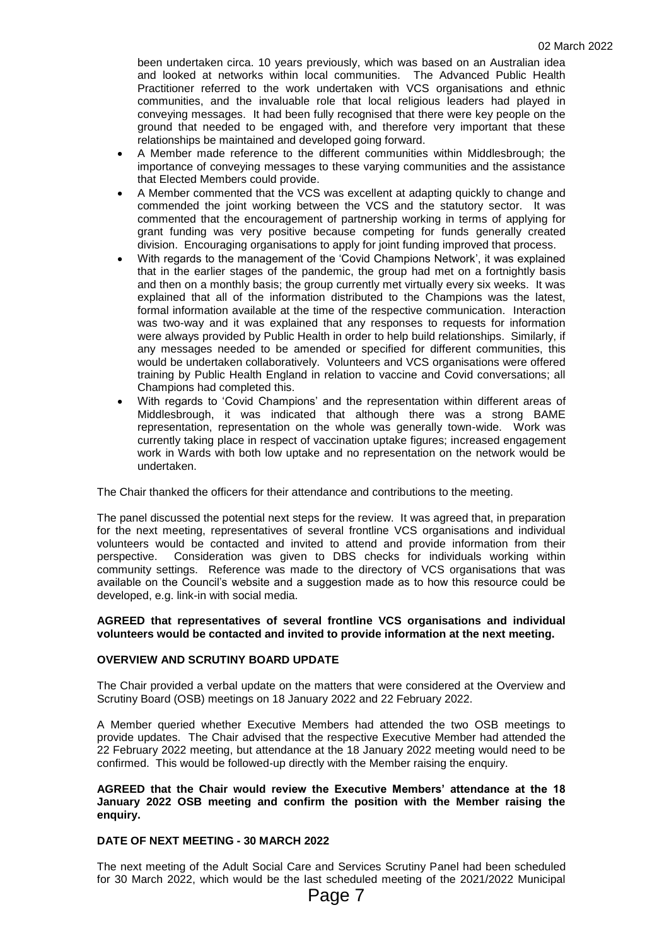been undertaken circa. 10 years previously, which was based on an Australian idea and looked at networks within local communities. The Advanced Public Health Practitioner referred to the work undertaken with VCS organisations and ethnic communities, and the invaluable role that local religious leaders had played in conveying messages. It had been fully recognised that there were key people on the ground that needed to be engaged with, and therefore very important that these relationships be maintained and developed going forward.

- A Member made reference to the different communities within Middlesbrough; the importance of conveying messages to these varying communities and the assistance that Elected Members could provide.
- A Member commented that the VCS was excellent at adapting quickly to change and commended the joint working between the VCS and the statutory sector. It was commented that the encouragement of partnership working in terms of applying for grant funding was very positive because competing for funds generally created division. Encouraging organisations to apply for joint funding improved that process.
- With regards to the management of the 'Covid Champions Network', it was explained that in the earlier stages of the pandemic, the group had met on a fortnightly basis and then on a monthly basis; the group currently met virtually every six weeks. It was explained that all of the information distributed to the Champions was the latest, formal information available at the time of the respective communication. Interaction was two-way and it was explained that any responses to requests for information were always provided by Public Health in order to help build relationships. Similarly, if any messages needed to be amended or specified for different communities, this would be undertaken collaboratively. Volunteers and VCS organisations were offered training by Public Health England in relation to vaccine and Covid conversations; all Champions had completed this.
- With regards to 'Covid Champions' and the representation within different areas of Middlesbrough, it was indicated that although there was a strong BAME representation, representation on the whole was generally town-wide. Work was currently taking place in respect of vaccination uptake figures; increased engagement work in Wards with both low uptake and no representation on the network would be undertaken.

The Chair thanked the officers for their attendance and contributions to the meeting.

The panel discussed the potential next steps for the review. It was agreed that, in preparation for the next meeting, representatives of several frontline VCS organisations and individual volunteers would be contacted and invited to attend and provide information from their perspective. Consideration was given to DBS checks for individuals working within community settings. Reference was made to the directory of VCS organisations that was available on the Council's website and a suggestion made as to how this resource could be developed, e.g. link-in with social media.

#### **AGREED that representatives of several frontline VCS organisations and individual volunteers would be contacted and invited to provide information at the next meeting.**

### **OVERVIEW AND SCRUTINY BOARD UPDATE**

The Chair provided a verbal update on the matters that were considered at the Overview and Scrutiny Board (OSB) meetings on 18 January 2022 and 22 February 2022.

A Member queried whether Executive Members had attended the two OSB meetings to provide updates. The Chair advised that the respective Executive Member had attended the 22 February 2022 meeting, but attendance at the 18 January 2022 meeting would need to be confirmed. This would be followed-up directly with the Member raising the enquiry.

#### **AGREED that the Chair would review the Executive Members' attendance at the 18 January 2022 OSB meeting and confirm the position with the Member raising the enquiry.**

## **DATE OF NEXT MEETING - 30 MARCH 2022**

The next meeting of the Adult Social Care and Services Scrutiny Panel had been scheduled for 30 March 2022, which would be the last scheduled meeting of the 2021/2022 Municipal